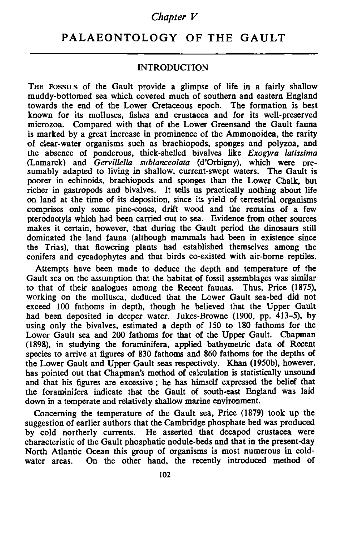### *Chapter V*

# **PALAEONTOLOGY OF THE GAULT**

### **INTRODUCTION**

THE FOSSILS of the Gault provide a glimpse of life in a fairly shallow muddy-bottomed sea which covered much of southern and eastern England towards the end of the Lower Cretaceous epoch. The formation is best known for its molluscs, fishes and crustacea and for its well-preserved microzoa. Compared with that of the Lower Greensand the Gault fauna is marked by a great increase in prominence of the Ammonoidea, the rarity of clear-water organisms such as brachiopods, sponges and polyzoa, and the absence of ponderous, thick-shelled bivalves like *Exogyra latissima* (Lam arck) and *Gervillella sublanceolata* (d'Orbigny), which were presumably adapted to living in shallow, current-swept waters. The Gault is poorer in echinoids, brachiopods and sponges than the Lower Chalk, but richer in gastropods and bivalves. It tells us practically nothing about life on land at the time of its deposition, since its yield of terrestrial organisms comprises only some pine-cones, drift wood and the remains of a few pterodaotyls which had been carried out to sea. Evidence from other sources makes it certain, however, that during the Gault period the dinosaurs still dominated the land fauna (although mammals had been in existence since the Trias), that flowering plants had established themselves am ong the conifers and cycadophytes and that birds co-existed with air-borne reptiles.

Attempts have been made to deduce the depth and temperature of the Gault sea on the assumption that the habitat of fossil assemblages was similar to that of their analogues among the Recent faunas. Thus, Price (1875), working on the mollusca, deduced that the Lower Gault sea-bed did not exceed 100 fathoms in depth, though he believed that the Upper Gault had been deposited in deeper water. Jukes-Browne (1900, pp. 413–5), by using only the bivalves, estimated a depth of 150 to 180 fathoms for the Lower Gault sea and 200 fathoms for that of the Upper Gault. Chapman (1898), in studying the foraminifera, applied bathymetric data of Recent species to arrive at figures of 830 fathoms and 860 fathoms for the depths of the Lower Gault and Upper Gault seas respectively. Khan (1950b), however, has pointed out that Chapman's method of calculation is statistically unsound and that his figures are excessive ; he has himself expressed the belief that the foraminifera indicate that the Gault of south-east England was laid down in a temperate and relatively shallow marine environment.

Concerning the temperature of the Gault sea. Price (1879) took up the suggestion of earlier authors that the Cambridge phosphate bed was produced by cold northerly currents. He asserted that decapod crustacea were characteristic of the Gault phosphatic nodule-beds and that in the present-day North Atlantic Ocean this group of organisms is most numerous in coldwater areas. On the other hand, the recently introduced method of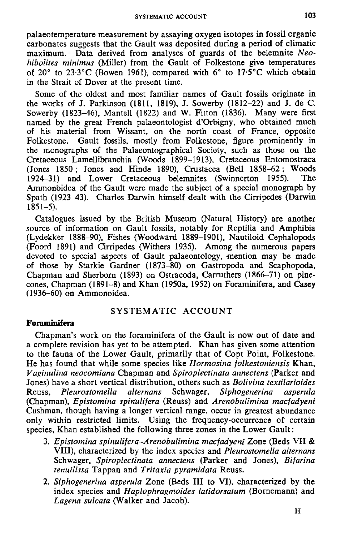palaeotem perature measurement by assaying oxygen isotopes in fossil organic carbonates suggests that the Gault was deposited during a period of climatic maximum. Data derived from analyses of guards of the belemnite *Neohibolites minimus* (Miller) from the Gault of Folkestone give temperatures of 20 $\degree$  to 23.3 $\degree$ C (Bowen 1961), compared with 6 $\degree$  to 17.5 $\degree$ C which obtain in the Strait of Dover at the present time.

Some of the oldest and most familiar names of Gault fossils originate in the works of J. Parkinson (1811, 1819), J. Sowerby (1812-22) and J. de C. Sowerby (1823-46), Mantell (1822) and W. Fitton (1836). Many were first named by the great French palaeontologist d'Orbigny, who obtained much of his material from Wissant, on the north coast of France, opposite Folkestone. Gault fossils, mostly from Folkestone, figure prominently in the monographs of the Palaeontographical Society, such as those on the Cretaceous Lamellibranchia (Woods 1899-1913), Cretaceous Entomostraca (Jones  $1850$ ; Jones and Hinde 1890), Crustacea (Bell  $1858-62$ ; Woods 1924-31) and Lower Cretaceous belemnites (Swinnerton 1955). The Ammonoidea of the Gault were made the subject of a special monograph by Spath (1923-43). Charles Darwin himself dealt with the Cirripedes (Darwin 1851-5).

Catalogues issued by the British Museum (Natural History) are another source of information on Gault fossils, notably for Reptilia and Amphibia (Lydekker 1888-90), Fishes (Woodward 1889-1901), Nautiloid Cephalopods (Foord 1891) and Cirripedes (Withers 1935). Among the numerous papers devoted to special aspects of Gault palaeontology, mention may be made of those by Starkie Gardner (1873-80) on Gastropoda and Scaphopoda, Chapman and Sherborn (1893) on Ostracoda, Carruthers (1866-71) on pinecones, Chapman (1891-8) and Khan (1950a, 1952) on Foraminifera, and Casey (1936-60) on Ammonoidea.

## SYSTEMATIC ACCOUNT

### **Foraminifera**

Chapman's work on the foraminifera of the Gault is now out of date and a complete revision has yet to be attempted. Khan has given some attention to the fauna of the Lower Gault, primarily that of Copt Point, Folkestone. He has found that while some species like *Hormosina folkestoniensis* Khan, *Vaginulina neocomiana* Chapman and *Spiroplectinata annectens* (Parker and Jones) have a short vertical distribution, others such as *B olivina textilarioides* Reuss, *Pleurostom ella alternans* Schwager, *Siphogenerina asperula* (Chapman), *Epistomina spinulifera* (Reuss) and *Arenobulimina macfadyeni* Cushman, though having a longer vertical range, occur in greatest abundance only within restricted limits. Using the frequency-occurrence of certain species, Khan established the following three zones in the Lower Gault:

- 3. *Epistomina spinulifera-Arenobulimina macfadyeni* Zone (Beds VII & V III), characterized by the index species and *Pleurostomella alternans* Schwager, *Spiroplectinata annectens* (Parker and Jones), *Bifarina tenuilissa* T appan and *Tritaxia pyram idata* Reuss.
- 2. *Siphogenerina asperula* Zone (Beds III to VI), characterized by the index species and *Haplophragmoides latidorsatum* (Bornemann) and Lagena sulcata (Walker and Jacob).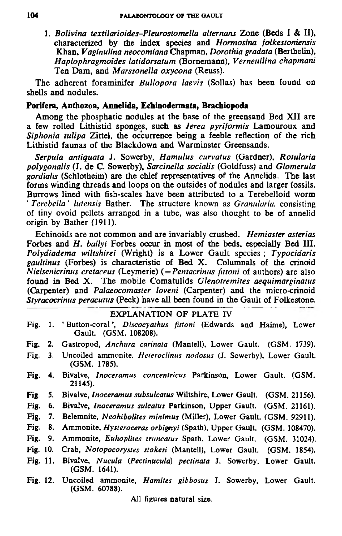1. *B olivina textilarioides-Pleurostom ella alter nans* Zone (Beds I & II), characterized by the index species and *Hormosina folkestoniensis* Khan, *Vaginulina neocomiana* Chapman, *Dorothia gradata* (Berthelin), *H aplophragm oides latidorsatum* (Bornemann), *Verneuilina chapm ani* Ten Dam, and *Marssonella oxycona* (Reuss).

The adherent foraminifer *Bullopora laevis* (Sollas) has been found on shells and nodules.

#### **Porifera, Anthozoa, Annelida, Echinodermata, Brachiopoda**

Among the phosphatic nodules at the base of the greensand Bed XII are a few rolled Lithistid sponges, such as *Jerea pyriformis* Lamouroux and *Siphonia tulipa* Zittel, the occurrence being a feeble reflection of the rich Lithistid faunas of the Blackdown and Warminster Greensands.

*Serpula antiquata* J. Sowerby, *H am ulus curvatus* (Gardner), *Rotularia polygonalis* (J. de C. Sowerby), *Sarcinella socialis* (Goldfuss) and *G lomerula gordialis* (Schlotheim) are the chief representatives of the Annelida. The last forms winding threads and loops on the outsides of nodules and larger fossils. Burrows lined with fish-scales have been attributed to a Terebelloid worm ' *Terebella ' lutensis* Bather. The structure known as *Granularia,* consisting of tiny ovoid pellets arranged in a tube, was also thought to be of annelid origin by Bather (1911).

Echinoids are not common and are invariably crushed. *Hemiaster asterias* Forbes and *H. bailyi* Forbes occur in most of the beds, especially Bed III. *Polydiadema wiltshirei* (Wright) is a Lower Gault species; *Typocidaris gaultinus* (Forbes) is characteristic of Bed X . Columnals of the crinoid *Nielsenicrinus cretaceus* (Leymerie) ( = *Pentacrinus fittoni* of authors) are also found in Bed X. The mobile Comatulids *Glenotremites aequimarginatus* (Carpenter) and *Palaeocomaster loveni* (Carpenter) and the micro-crinoid *Styracocrinus peracutus* (Peck) have all been found in the Gault of Folkestone.

#### EXPLANATION OF PLATE IV

- Fig. 1. ' Button-coral', *Discocyathus fittoni* (Edwards and Haime), Lower Gault. (GSM. 108208).
- Fig. 2. Gastropod, *Anchura carinata* (Mantell), Lower Gault. (GSM. 1739).
- Fig. 3. Uncoiled ammonite, *Heteroclinus nodosus* (J. Sowerby), Lower Gault. (GSM. 1785).
- Fig. 4. Bivalve, *Inoceramus concentricus* Parkinson, Lower Gault. (GSM. 21145).
- Fig. 5. Bivalve, *Inoceramus subsulcatus* Wiltshire, Lower Gault. (GSM. 21156).
- Fig. 6. Bivalve, *Inoceramus sulcatus* Parkinson, Upper Gault. (GSM. 21161).
- Fig. 7. Belemnite, *Neohibolites minimus* (Miller), Lower Gault. (GSM. 92911).
- Fig. 8. Ammonite, *Hysteroceras orbignyi* (Spath), Upper Gault. (GSM. 108470).
- Fig. 9. Ammonite, *Euhoplites truncatus* Spath, Lower Gault. (GSM. 31024).
- Fig. 10. Crab, *Notopocorystes stokesi* (Mantell), Lower Gault. (GSM. 1854).
- Fig. 11. Bivalve, *Nucula (Pectinucula*) *pectinata* J. Sowerby, Lower Gault. (GSM. 1641).
- Fig. 12. Uncoiled ammonite, *Hamites gibbosus* J. Sowerby, Lower Gault. (GSM. 60788).

All figures natural size.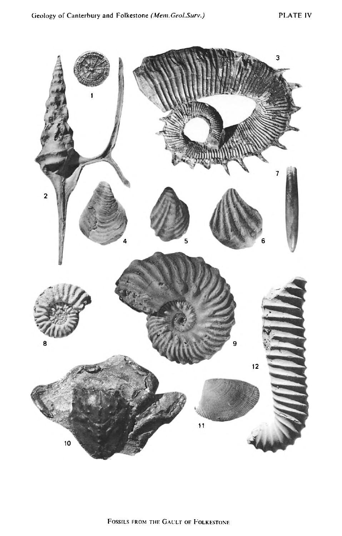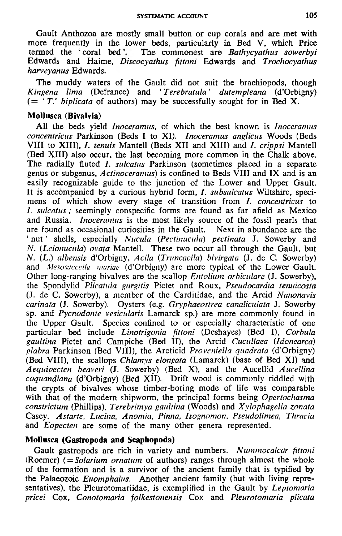Gault Anthozoa are mostly small button or cup corals and are met with more frequently in the lower beds, particularly in Bed V, which Price termed the 'coral bed'. The commonest are *Bathycyathus sowerbyi* Edwards and Haim e, *Discocyathus fittoni* Edw ards and *Trochocyathus harveyanus* Edwards.

The muddy waters of the Gault did not suit the brachiopods, though *Kingena lima* (Defrance) and *' T erebratula' dutempleana* (d'Orbigny)  $( = \tau T$ , *biplicata* of authors) may be successfully sought for in Bed X.

### **Mollusca (Bivalvia)**

All the beds yield *Inoceramus*, of which the best known is *Inoceramus concentricus* Parkinson (Beds I to XI). *Inoceramus anglicus* Woods (Beds VIII to XIII), *I. tenuis* Mantell (Beds XII and XIII) and *I. crippsi* Mantell (Bed XIII) also occur, the last becoming more common in the Chalk above. The radially fluted *I. sulcatus* Parkinson (sometimes placed in a separate genus or subgenus, *A ct inoceramus)* is confined to Beds V III and IX and is an easily recognizable guide to the junction of the Lower and Upper Gault. It is accompanied by a curious hybrid form, *I. subsulcatus* Wiltshire, specimens of which show every stage of transition from *I. concentricus* to *I. sulcatus*; seemingly conspecific forms are found as far afield as Mexico and Russia. *Inoceramus* is the most likely source of the fossil pearls that are found as occasional curiosities in the Gault. Next in abundance are the ' nut ' shells, especially *Nucula* (*Pectinucula*) *pectinata* J. Sowerby and *N.* (*Leionucula*) *ovata* Mantell. These two occur all through the Gault, but *N.* (*L.*) *albensis* d'Orbigny, *Acila* (*Truncacila*) *bivirgata* (*J.* de C. Sowerby) and *Mesosaccella mariae* (d'Orbigny) are more typical of the Lower Gault. Other long-ranging bivalves are the scallop *Entolium orbiculare* (J. Sowerby), the Spondylid *Plicatula gurgitis* Pictet and R oux, *Pseudocardia teruiicosta* (J. de C. Sowerby), a mem ber of the Carditidae, and the Arcid *Nanonavis carinata* (J. Sowerby). Oysters (e.g. *Gryphaeostrea canaliculata* J. Sowerby sp. and *Pycnodonte vesicularis* Lamarck sp.) are more commonly found in the Upper Gault. Species confined to or especially characteristic of one particular bed include *Linotrigonia fittoni* (Deshayes) (Bed I), *Corbula gaultina* Pictet and Campiche (Bed II), the Arcid *Cucullaea* (*Idonearca) glabra* Parkinson (Bed VIII), the Arcticid *Proveniella quadrata* (d'Orbigny) (Bed VIII), the scallops *Chlamys elongata* (Lamarck) (base of Bed XI) and *Aequipecten beaveri* (J. Sowerby) (Bed X), and the Aucellid *Aucellina coquandiana* (d'Orbigny) (Bed XII). Drift wood is commonly riddled with the crypts of bivalves whose timber-boring mode of life was comparable with that of the modern shipworm, the principal forms being *Opertochasma constrictum* (Phillips), *Terebrimya gaultina* (Woods) and *Xylophagella zonata* Casey. *Astarte, Lucina, Anom ia, Pinna, Isognomon, Pseudolimea, Thracia* and *Eopecten* are some of the many other genera represented.

### **Mollnsca (Gastropoda and Scaphopoda)**

Gault gastropods are rich in variety and numbers. Nummocalcar fittoni  $(Roemer)$  ( $= Solarium$  *ornatum* of authors) ranges through almost the whole of the form ation and is a survivor of the ancient family that is typified by the Palaeozoic *Euomphalus*. Another ancient family (but with living representatives), the Pleurotomariidae, is exemplified in the Gault by *Leptomaria pricei* Cox, *Conotomaria folkestonensis* Cox and *Pleurotomaria plicata*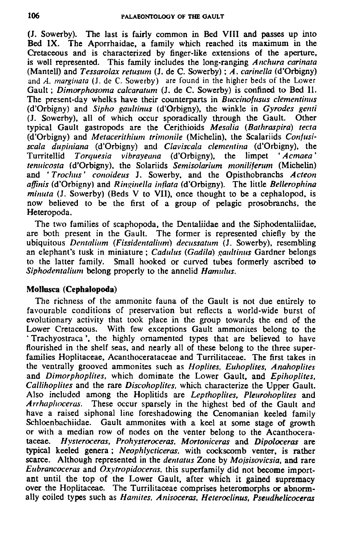(J. Sowerby). The last is fairly common in Bed VIII and passes up into Bed IX. The Aporrhaidae, a family which reached its maximum in the Cretaceous and is characterized by finger-like extensions of the aperture, is well represented. This family includes the long-ranging *Anchura carinata* (Mantell) and *Tessarolax retusum* (J. de C. Sowerby); *A. carinella* (d'Orbigny) and *A. marginata* (J. de C. Sowerby) are found in the higher beds of the Lower Gault; *Dimorphosoma calcaratum* (J. de C. Sowerby) is confined to Bed II. The present-day whelks have their counterparts in *Buccinofusus clementinus* (d'Orbigny) and *Sipho gaultinus* (d'Orbigny). the winkle in *G yrodes genti* (J. Sowerby), all of which occur sporadically through the Gault. typical G ault gastropods are the Cerithioids *Mesalia* (*Bathraspira*) *tecta* (d'Orbigny) and *M etacerithium trimonile* (Michelin), the Scalariids *Confusiscala dupiniana* (d'Orbigny) and *Claviscala Clementina* (d'Orbigny), the Torquesia vibrayeana (d'Orbigny), the limpet 'Acmaea' *tenuicosta* (d'Orbigny), the Solariids *Semisolarium moniliferum* (Michelin) and '*Trochus'* conoideus J. Sowerby, and the Opisthobranchs Acteon *affinis* (d'Orbigny) and *Ringinella inflata* (d'Orbigny). The little *Bellerophina minuta* (J. Sowerby) (Beds V to VII), once thought to be a cephalopod, is now believed to be the first of a group of pelagic prosobranchs, the Heteropoda.

The two families of scaphopoda, the Dentaliidae and the Siphodentaliidae, are both present in the Gault. The former is represented chiefly by the ubiquitous *Dentalium* (*Fissidentalium) decussatum* (J. Sowerby), resembling an elephant's tusk in miniature ; *Cadulus* (*Gadila*) gaultinus Gardner belongs to the latter family. Small hooked or curved tubes formerly ascribed to *Siphodentalium* belong properly to the annelid *Hamulus.*

### **Mollusca (Cephalopoda)**

The richness of the ammonite fauna of the Gault is not due entirely to favourable conditions of preservation but reflects a world-wide burst of evolutionary activity that took place in the group towards the end of the Lower Cretaceous. With few exceptions Gault ammonites belong to the 'Trachyostraca', the highly ornamented types that are believed to have flourished in the shelf seas, and nearly all of these belong to the three superfamilies Hoplitaceae, Acanthocerataceae and Turrilitaceae. The first takes in the ventrally grooved ammonites such as *Hoplites, Euhoplites, Anahoplites* and *Dimorphoplites*, which dominate the Lower Gault, and *Epihoplites*, *Callihoplites* and the rare *Discohoplites*, which characterize the Upper Gault. Also included among the Hoplitids are *Lepthoplites*, *Pleurohoplites* and Arrhaphoceras. These occur sparsely in the highest bed of the Gault and have a raised siphonal line foreshadowing the Cenomanian keeled family Schloenbachiidae. Gault ammonites with a keel at some stage of growth or with a median row of nodes on the venter belong to the Acanthocerataceae. *Hysteroceras, Prohysteroceras, Mortoniceras* and *Dipoloceras* are typical keeled genera ; *Neophlycticeras.* with cockscomb venter, is rather scarce. A lthough represented in the *dentatus* Zone by *Mojsisovicsia,* and rare *Eubrancoceras* and *Oxytropidoceras,* this superfamily did not become im portant until the top of the Lower Gault, after which it gained supremacy over the Hoplitaceae. The Turrilitaceae comprises heteromorphs or abnormally coiled types such as *Hamites, Anisoceras, Heteroclinus, Pseudhelicoceras*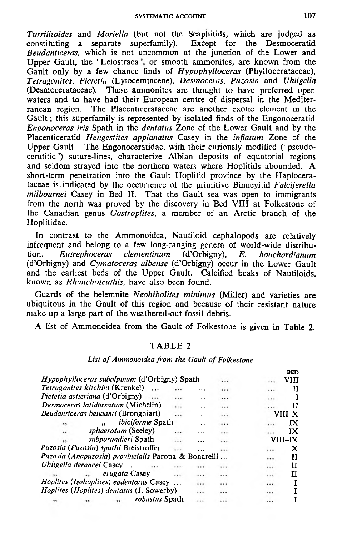SYSTEMATIC ACCOUNT

*Turrilitoides* and *Mariella* (but not the Scaphitids, which are judged as constituting a separate superfamily). Except for the Desmoceratid *Beudanticeras*, which is not uncommon at the junction of the Lower and Upper Gault, the 'Leiostraca', or smooth ammonites, are known from the Gault only by a few chance finds of *Hypophylloceras* (Phyllocerataceae), *Tetragonites, Pictetia* (Lytocerataceae), *Desmoceras, Puzosia* and *Uhligella* (Desmocerataceae). These ammonites are thought to have preferred open waters and to have had their European centre of dispersal in the Mediterranean region. The Placenticerataceae are another exotic element in the Gault; this superfamily is represented by isolated finds of the Engonoceratid *Engonoceras iris* Spath in the *dentatus* Zone of the Lower Gault and by the Placenticeratid *Hengestites applanatus* Casey in the *inflatum* Zone of the Upper Gault. The Engonoceratidae, with their curiously modified (' pseudoceratitic ') suture-lines, characterize Albian deposits of equatorial regions and seldom strayed into the northern waters where Hoplitids abounded. A short-term penetration into the Gault Hoplitid province by the Haplocerataceae is.indicated by the occurrence of the primitive Binneyitid *Falciferella milbournei* Casey in Bed II. That the Gault sea was open to immigrants from the north was proved by the discovery in Bed VIII at Folkestone of the Canadian genus *Gastroplites*, a member of an Arctic branch of the Hoplitidae.

In contrast to the Ammonoidea, Nautiloid cephalopods are relatively infrequent and belong to a few long-ranging genera of world-wide distribution. *Eutrephoceras clementinum* (d'Orbigny), *E. bouchardianum* (d'Orbigny) and *Cymatoceras albense* (d'Orbigny) occur in the Lower Gault and the earliest beds of the Upper Gault. Calcified beaks of Nautiloids. known as *Rhynchoteuthis,* have also been found.

Guards of the belemnite *Neohibolites minimus* (Miller) and varieties are ubiquitous in the Gault of this region and because of their resistant nature make up a large part of the weathered-out fossil debris.

A list of Ammonoidea from the Gault of Folkestone is given in Table 2.

### TABLE 2

#### List of Ammonoidea from the Gault of Folkestone

|                         |                                                      |          |           |          |          | BED            |
|-------------------------|------------------------------------------------------|----------|-----------|----------|----------|----------------|
|                         | <i>Hypophylloceras subalpinum</i> (d'Orbigny) Spath  |          |           | .        | .        | VIII           |
|                         | Tetragonites kitchini (Krenkel)<br>$\ddotsc$         | .        |           |          | .        | Н              |
|                         | Pictetia astieriana (d'Orbigny)                      | .        | $\cdots$  |          |          |                |
|                         | Desmoceras latidorsatum (Michelin)                   | .        | .         | $\cdots$ |          | П              |
|                         | <i>Beudanticeras beudanti</i> (Brongniart)           |          | $\ddotsc$ |          |          | VIII–X         |
| $\ddot{\phantom{1}}$    | <i>ibiciforme</i> Spath                              |          |           |          | .        | ГX             |
| $\cdots$                | <i>sphaerotum</i> (Seeley)                           | .        | .         |          |          | IX             |
|                         | subparandieri Spath                                  |          | $\ddotsc$ | .        |          | <b>VIII–IX</b> |
|                         | Puzosia (Puzosia) spathi Breistroffer                | $\cdots$ | .         |          | $\cdots$ | x              |
|                         | Puzosia (Anapuzosia) provincialis Parona & Bonarelli |          |           |          | $\cdots$ | н              |
|                         | Uhligella derancei Casey<br>                         |          |           |          |          | и              |
| $\overline{\mathbf{z}}$ | erugata Casey<br>$\sim$                              | $\cdots$ | $\cdots$  |          | $\cdots$ | п              |
|                         | Hoplites (Isohoplites) eodentatus Casey              |          | $\cdots$  | .        |          |                |
|                         | <i>Hoplites (Hoplites) dentatus (J. Sowerby)</i>     |          | $\cdots$  |          |          | I              |
|                         | robustus Spath                                       |          | .         |          |          |                |
|                         |                                                      |          |           |          |          |                |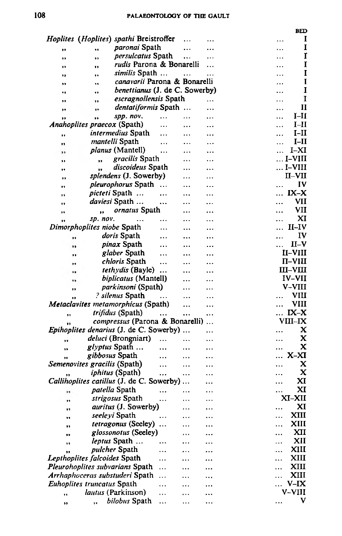#### PALAEONTOLOGY OF THE GAULT

**BED** 

|    | Hoplites (Hoplites) spathi Breistroffer        |           |           |           | 1<br>                                    |
|----|------------------------------------------------|-----------|-----------|-----------|------------------------------------------|
| Ħ  | <i>paronai</i> Spath<br>99                     |           |           | $\ddotsc$ | 1                                        |
| ٠, | <i>persulcatus</i> Spath<br>,,                 |           |           | .         | I                                        |
| ,, | rudis Parona & Bonarelli<br>,,                 |           |           | .         | 1                                        |
| 99 | similis Spath<br>,,                            |           | .         | .         | I                                        |
| ,, | canavarii Parona & Bonarelli<br>٠,             |           |           |           | I                                        |
|    | benettianus (J. de C. Sowerby)<br>,,           |           |           |           | I                                        |
| ,, | escragnollensis Spath<br>,,                    |           |           | .         | I                                        |
| 59 | dentatiformis Spath<br>                        |           |           | .         | $\mathbf{I}$<br>.                        |
|    | spp. nov.<br>,,                                | $\ddotsc$ |           |           | I-II                                     |
|    | <i>Anahoplites praecox</i> (Spath)             | .         |           |           | I–II<br>.                                |
| ,, | intermedius Spath                              |           | .         |           | I-II<br>                                 |
| ,, | mantelli Spath                                 | $\ddotsc$ |           |           | I–II<br>.                                |
| ,, | planus (Mantell)                               |           |           |           | I–XI<br>.                                |
|    | gracilis Spath<br>,,                           |           | .         | $\ddotsc$ | . I–VIII                                 |
| ,, | discoideus Spath<br>٠,                         |           |           |           | I–VIII                                   |
| ., | <i>splendens</i> (J. Sowerby)                  |           | .         |           | <b>II–VII</b>                            |
| ,, | <i>pleurophorus</i> Spath                      | $\cdots$  |           | .         | IV                                       |
| ., | <i>picteti</i> Spath                           |           |           |           | IX-X                                     |
| ., | daviesi Spath                                  |           |           | .         | VII                                      |
| ,, |                                                |           | .         |           | VII                                      |
| ,, | ornatus Spath<br>$\bullet$                     |           |           |           | XI                                       |
| ,, | sp. nov.<br>$\ddotsc$                          |           |           |           | $II$ -IV                                 |
|    | Dimorphoplites niobe Spath                     |           |           |           |                                          |
| ,, | doris Spath                                    |           |           |           | IV                                       |
| ,, | <i>pinax</i> Spath                             | $\cdots$  |           |           | $II-V$                                   |
|    | glaber Spath                                   |           |           |           | II–VIII                                  |
| ,, | <i>chloris</i> Spath                           | $\ddotsc$ |           |           | $\Pi$ -VIII                              |
| ., | <i>tethydis</i> (Bayle)                        | $\ddotsc$ |           |           | $\mathbf{m}\text{-}\mathbf{v}\mathbf{m}$ |
| ٠, | biplicatus (Mantell)                           |           |           |           | IV–VII                                   |
| ,, | <i>parkinsoni</i> (Spath)                      |           | .         | .         | V–VIII                                   |
| ,, | ? silenus Spath                                | $\cdots$  | .         | .         | VШ                                       |
|    | Metaclavites metamorphicus (Spath)             |           | .         | .         | VIII                                     |
| ,, | trifidus (Spath)                               | $\cdots$  | $\ddotsc$ |           | $IX-X$                                   |
| ., | <i>compressus</i> (Parona & Bonarelli)         |           |           |           | VIII–IX                                  |
|    | <i>Epihoplites denarius</i> (J. de C. Sowerby) |           |           |           | x                                        |
| m  | <i>deluci</i> (Brongniart)                     | $\ddotsc$ |           |           | X                                        |
| ٠, | <i>glyptus</i> Spath                           |           |           |           | x<br>.                                   |
|    | gibbosus Spath                                 |           | $\cdots$  |           | X-XI                                     |
|    | Semenovites gracilis (Spath)                   | $\ddotsc$ | .         |           | x                                        |
|    | <i>iphitus</i> (Spath)                         |           |           |           | x<br>.                                   |
|    | Callihoplites catillus (J. de C. Sowerby)      |           |           |           | xı                                       |
| ., | <i>patella</i> Spath                           | $\ddotsc$ |           |           | XI                                       |
|    | strigosus Spath                                | $\cdots$  |           |           | XI–XII                                   |
|    | auritus (J. Sowerby)                           |           |           |           | XI<br>                                   |
| ., | seeleyi Spath                                  |           |           | .         | XIII<br>.                                |
| ,, | tetragonus (Seeley)                            | $\ddotsc$ |           |           | XIII<br>.                                |
| ., | glossonotus (Seeley)                           |           |           |           | XII<br>                                  |
| m  | leptus Spath                                   |           |           |           | XII<br>.                                 |
|    | pulcher Spath                                  | .         |           |           | XIII<br>.                                |
| ,, | Lepthoplites falcoides Spath                   | .         |           |           | XIII<br>.                                |
|    | Pleurohoplites subvarians Spath                | .         |           |           | XIII<br>$\ddotsc$                        |
|    | Arrhaphoceras substuderi Spath                 | $\ddotsc$ |           |           | XIII<br>$\ddotsc$                        |
|    | Euhoplites truncatus Spath                     |           |           |           | $V-IX$                                   |
|    | <i>lautus</i> (Parkinson)                      | $\ddotsc$ |           |           | V-VIII                                   |
| ,, | bilobus Spath                                  | .         | .         |           | V                                        |
| ,, |                                                |           |           |           |                                          |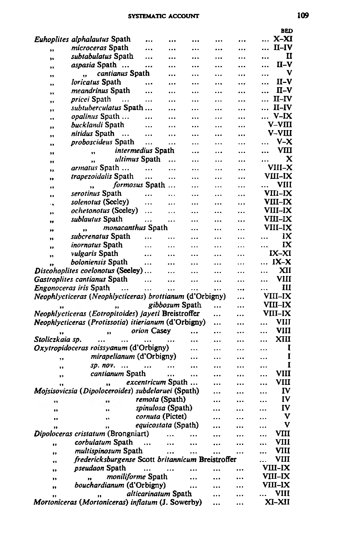#### SYSTEMATIC ACCOUNT

|                 | <i>Euhoplites alphalautus</i> Spath                      |                            |                | $\ddotsc$ |           |           |          | $X-XI$               |
|-----------------|----------------------------------------------------------|----------------------------|----------------|-----------|-----------|-----------|----------|----------------------|
| ,,              | microceras Spath                                         |                            |                |           | $\ddotsc$ |           |          | $II-IV$              |
| ٠,              | subtabulatus Spath                                       |                            |                |           |           |           |          | п                    |
| ,,              | <i>aspasia</i> Spath                                     |                            | $\ddotsc$      |           |           |           |          | $II-N$               |
| ,,              | cantianus Spath<br>$\ddot{\phantom{0}}$                  |                            |                |           |           |           |          | v                    |
| ,,              | <i>loricatus</i> Spath                                   |                            | $\cdots$       |           |           |           |          | $II-V$               |
| ,,              | <i>meandrinus</i> Spath                                  |                            |                |           |           |           |          | $\Pi$ –V             |
| ,,              | <i>pricei</i> Spath<br>$\cdots$                          |                            |                |           |           | .         |          | $II$ –IV             |
| ,,              | subtuberculatus Spath                                    |                            | $\ddotsc$      |           |           | $\cdots$  |          | II–IV                |
| ٠,              | <i>opalinus</i> Spath                                    |                            |                |           |           |           |          | V-IX<br>V–VIII       |
| Ħ               | <i>bucklandi</i> Spath                                   |                            |                |           |           |           |          | V–VIII               |
| ,,              | nitidus Spath<br>$\cdots$<br><i>proboscideus</i> Spath   | $\ddotsc$                  |                |           |           |           |          | $V - X$              |
| ,,              |                                                          | $\ddotsc$                  |                |           |           |           |          | vш                   |
| ,,              |                                                          | <i>intermedius</i> Spath   |                |           |           |           |          | x                    |
| ,,              | ,,                                                       | ultimus Spath              |                |           |           |           |          | VIII-X               |
| ,,              | <i>armatus</i> Spath<br><i>trapezoidalis</i> Spath       |                            | $\cdots$       |           |           |           |          | VIII-IX              |
| ,,              |                                                          | <br>formosus Spath         |                |           |           | $\ddotsc$ |          | VIII                 |
| .,              | ,,<br>serotinus Spath                                    |                            |                |           |           |           |          | VIII-IX              |
| ,,              |                                                          |                            | .              | $\ddotsc$ | .         |           |          | VIII–IX              |
| ٠,              | solenotus (Seeley)<br><i>ochetonotus</i> (Seeley)        | .                          |                |           |           |           |          | <b>VIII-IX</b>       |
| ,,              |                                                          | .                          | .              |           |           |           |          |                      |
| ,,              | sublautus Spath                                          | .                          |                |           |           | $\ddotsc$ |          | <b>VIII-IX</b>       |
| ,,              | <i>monacanthus</i> Spath<br>$\bullet$                    |                            |                |           |           | $\cdots$  |          | <b>VIII–IX</b><br>IX |
| ,,              | subcrenatus Spath                                        | $\cdots$                   | .              |           |           | .         |          |                      |
| ,,              | inornatus Spath                                          | .                          |                |           |           | .         |          | IX                   |
| ,,              | <i>vulgaris</i> Spath                                    |                            |                |           |           |           |          | IX-XI                |
| ,,              | boloniensis Spath                                        |                            |                |           |           | $\ddotsc$ |          | $IX-X$               |
|                 | Discohoplites coelonotus (Seeley)                        |                            |                |           |           |           | .        | XII                  |
|                 | Gastroplites cantianus Spath                             | $\cdots$                   |                |           |           |           |          | VIII                 |
|                 | <i>Engonoceras iris</i> Spath<br>$\ddotsc$               |                            |                |           | $\ddotsc$ | $\ddotsc$ |          | Ш                    |
|                 | Neophlycticeras (Neophlycticeras) brottianum (d'Orbigny) |                            |                |           |           |           |          | VIII–IX              |
|                 |                                                          |                            | gibbosum Spath |           |           |           |          | VIII-IX              |
|                 | Neophlycticeras (Eotropitoides) jayeti Breistroffer      |                            |                |           |           |           |          | VIII–IX              |
|                 | Neophlycticeras (Protissotia) itierianum (d'Orbigny)     |                            |                |           |           |           | .        | VIII                 |
|                 | ,,                                                       | orion Casey                |                | $\cdots$  |           |           |          | <b>VIII</b>          |
| Stoliczkaia sp. |                                                          |                            |                |           |           |           |          | XIII                 |
|                 | Oxytropidoceras roissyanum (d'Orbigny)                   |                            |                |           |           |           |          | 1                    |
| ,,              | mirapelianum (d'Orbigny)                                 |                            |                |           |           |           |          | I                    |
| ,,              | Sp. nov.<br>                                             | $\cdots$                   |                |           |           |           |          | I                    |
| ,,              | cantianum Spath                                          |                            |                |           |           |           |          | VIII                 |
|                 | 'n                                                       | <i>excentricum</i> Spath   |                |           |           |           |          | VIII                 |
|                 | Mojsisovicsia (Dipoloceroides) subdelaruei (Spath)       |                            |                |           | .         |           |          | IV                   |
|                 | .,                                                       | remota (Spath)             |                |           |           |           |          | IV                   |
| ,,              | .,                                                       | spinulosa (Spath)          |                |           |           |           |          | IV                   |
| ,,              | ۰,                                                       | cornuta (Pictet)           |                |           |           |           | $\cdots$ | v                    |
| ,,              | ,,                                                       | <i>equicostata</i> (Spath) |                |           |           |           |          |                      |
|                 | Dipoloceras cristatum (Brongniart)                       |                            |                |           |           |           |          | VIII                 |
| ,,              | corbulatum Spath                                         | .                          |                |           |           |           |          | VIII                 |
| ,,              | multispinosum Spath                                      |                            |                |           |           |           |          | VIII                 |
| ,,              | fredericksburgense Scott britannicum Breistroffer        |                            |                |           |           |           |          | VIII                 |
| ,,              | <i>pseudaon</i> Spath                                    |                            |                |           |           |           |          | VIII-IX              |
| ,,              |                                                          | moniliforme Spath          |                |           |           |           |          | VIII–IX              |
| ,,              | bouchardianum (d'Orbigny)                                |                            |                |           |           |           |          | VIII-IX              |
| ,,              |                                                          | alticarinatum Spath        |                |           |           |           |          | VIII                 |
|                 | Mortoniceras (Mortoniceras) inflatum (J. Sowerby)        |                            |                |           |           |           |          | XI-XII               |

**BED**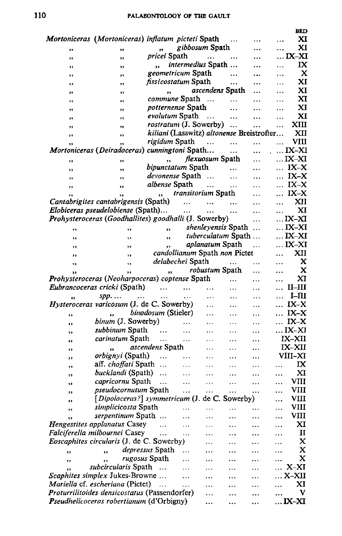#### PALAEONTOLOGY OF THE GAULT

|              |                                                       |                                           |                           |                        |                           |           |           | <b>BED</b>     |
|--------------|-------------------------------------------------------|-------------------------------------------|---------------------------|------------------------|---------------------------|-----------|-----------|----------------|
|              | Mortoniceras (Mortoniceras) inflatum picteti Spath    |                                           |                           |                        |                           |           | $\ddotsc$ | хı             |
| ,,           | ,,                                                    |                                           | gibbosum Spath            |                        |                           |           |           | XI             |
| ,,           | ,,                                                    | <i>pricei</i> Spath                       |                           | $\cdots$               | $\cdots$                  |           |           | IX–XI          |
| ,,           | ,,                                                    | ,,                                        | <i>intermedius</i> Spath  |                        |                           |           | .         | IX             |
| ,,           | ,,                                                    | geometricum Spath                         |                           |                        | $\ddotsc$                 | .         | .         | x              |
| ,,           | ,,                                                    | <i>fissicostatum</i> Spath                |                           |                        | $\ddotsc$                 | .         |           | XI             |
| ,,           | ,,                                                    | ,,                                        |                           |                        | ascendens Spath           |           |           | XI             |
| ,,           | ,,                                                    | <i>commune</i> Spath                      |                           | $\cdots$               | .                         |           | .         | XI             |
| ,,           | ,,                                                    | <i>potternense</i> Spath                  |                           |                        |                           | .         | .         | xı             |
| ,,           | ,,                                                    | evolutum Spath                            |                           | $\ddotsc$              | $\cdots$                  |           | .         | XI             |
| ,,           | ,,                                                    | rostratum (J. Sowerby)                    |                           |                        |                           |           | .         | xш             |
| ,,           | ,,                                                    | kiliani (Lasswitz) altonense Breistrofter |                           |                        |                           |           |           | XП             |
| ,,           | ,,                                                    | <i>rigidum</i> Spath                      |                           | $\sim$                 | .                         |           |           | VIII           |
|              | Mortoniceras (Deiradoceras) cunningtoni Spath         |                                           |                           |                        | $\cdots$                  |           |           | $\ldots$ IX–XI |
| ,,           | ,,                                                    | $\cdot$                                   |                           | <i>Hexuosum</i> Spath  |                           |           |           | IX–XI          |
| ,,           | ,,                                                    | bipunctatum Spath                         |                           |                        |                           |           | $\cdots$  | $IX-X$         |
| ,,           | ,,                                                    | <i>devonense</i> Spath                    |                           |                        | .                         | $\ddotsc$ | $\cdots$  | $IX-X$         |
| ,,           | ,,                                                    | <i>albense</i> Spath                      |                           |                        | $\cdots$                  |           | .         | $IX-X$         |
|              | ,,                                                    | ,,                                        | <i>transitorium</i> Spath |                        |                           | $\ddotsc$ | $\cdots$  | $IX-X$         |
|              | Cantabrigites cantabrigensis (Spath)                  |                                           | $\ddotsc$                 | $\cdots$               | $\cdots$                  |           |           | XII            |
|              | Elobiceras pseudelobiense (Spath)                     |                                           | $\ldots$                  | $\ldots$               |                           |           |           | xı             |
|              | Prohysteroceras (Goodhallites) goodhalli (J. Sowerby) |                                           |                           |                        |                           |           |           | IX-XI          |
|              | ,,                                                    | ,,                                        |                           |                        | <i>shenleyensis</i> Spath |           |           | $\ldots$ IX-XI |
| ,,           | ,,                                                    | ٠,                                        |                           |                        | tuberculatum Spath        |           |           | IX–XI          |
| ,,           | ,,                                                    | ,,                                        |                           | <i>aplanatum</i> Spath |                           | $\ddotsc$ |           | IX–XI          |
| ,,           | ,,                                                    | candollianum Spath non Pictet             |                           |                        |                           |           | .         | XII            |
| ,,           | ,                                                     | <i>delabechei</i> Spath                   |                           |                        | $\ddotsc$                 | .         | .         | x              |
|              | ,,                                                    | ,                                         |                           | robustum Spath         |                           | .         | .         | x              |
|              | <b>Prohysteroceras (Neoharpoceras) coptense Spath</b> |                                           |                           |                        |                           | .         | .         | XI             |
|              | Eubrancoceras cricki (Spath)                          | $\ddotsc$                                 | $\ddotsc$                 | .                      | .                         |           | .         | $II$ - $III$   |
|              | spp<br>$\cdots$                                       | .                                         | $\ddotsc$                 | .                      | $\ddotsc$                 |           | $\cdots$  | $I-III$        |
|              | <i>Hysteroceras varicosum</i> (J. de C. Sowerby)      |                                           |                           | .                      | .                         | .         |           | IX-X           |
| ,,           |                                                       | binodosum (Stieler)                       |                           | .                      | .                         | $\cdots$  |           | IX-X           |
| ,,           | binum (J. Sowerby)                                    |                                           | $\cdots$                  | .                      | .                         |           | $\cdots$  | $IX-X$         |
|              | subbinum Spath                                        | $\ddotsc$                                 | $\cdots$                  | .                      | .                         | .         |           | IX–XJ          |
| ,,           | <i>carinatum</i> Spath                                | .                                         | $\cdots$                  |                        | .                         | .         |           | IX-XII         |
| ,,           | ٠.                                                    | <i>ascendens</i> Spath                    |                           | .                      | .                         |           |           | IX-XII         |
| , ,          | <i>orbignyi</i> (Spath)                               | $\ddotsc$                                 | $\cdots$                  | .                      |                           |           |           | VIII–XI        |
| ,,           | aff. choffati Spath                                   |                                           | .                         | .                      | .                         | .         | .         | IX             |
| ,,           | bucklandi (Spath)                                     | $\sim$                                    | .                         | $\cdots$               |                           |           |           | xı             |
| ,,           | <i>capricornu</i> Spath                               | $\ddotsc$                                 | $\ddotsc$                 | $\cdots$               | <br>$\ddotsc$             | .<br>.    | .<br>.    | VIII           |
| ,,           | <i>pseudocornutum</i> Spath                           |                                           | $\cdots$                  | $\ddotsc$              | .                         | .         | .         | VIII           |
| ,,           | [Dipoloceras?] symmetricum (J. de C. Sowerby)         |                                           |                           |                        |                           |           |           | VIII           |
| $^{\bullet}$ | simplicicosta Spath                                   |                                           |                           |                        |                           |           |           | VIII           |
| ,,           | serpentinum Spath                                     |                                           |                           | $\cdots$               | $\cdots$                  | $\cdots$  |           | VIII           |
| ,,           | <b>Hengestites applanatus Casey</b>                   |                                           |                           | $\cdots$               |                           |           |           | XI             |
|              | Falciferella milbournei Casey                         | .                                         | .                         |                        | .                         |           |           | п              |
|              | Eoscaphites circularis (J. de C. Sowerby)             | .                                         | .                         |                        |                           |           |           | x              |
|              |                                                       | depressus Spath                           |                           |                        |                           |           |           | x              |
| ,,           |                                                       |                                           | .                         |                        |                           |           |           | x              |
| ,,           | <i>rugosus</i> Spath<br>٠,                            |                                           | $\ddotsc$                 |                        |                           |           |           |                |
| ,,           | subcircularis Spath                                   | $\ddotsc$                                 | $\cdots$                  |                        |                           |           |           | $X-XI$         |
|              | Scaphites simplex Jukes-Browne                        |                                           |                           |                        |                           |           |           | X–XII          |
|              | Mariella cf. escheriana (Pictet)                      | .                                         |                           |                        |                           |           |           | XI             |
|              | Proturrilitoides densicostatus (Passendorfer)         |                                           |                           | .                      |                           |           |           | v              |
|              | Pseudhelicoceras robertianum (d'Orbigny)              |                                           |                           | .                      |                           |           |           | $$ IX-XI       |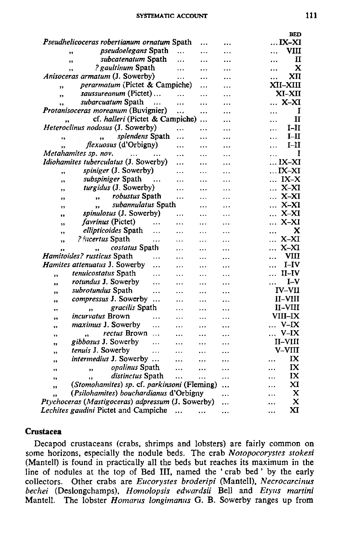#### SYSTEMATIC ACCOUNT

|                                                             |           |           | BED                 |
|-------------------------------------------------------------|-----------|-----------|---------------------|
| Pseudhelicoceras robertianum ornatum Spath                  |           |           | IX-XI               |
| <i>pseudoelegans</i> Spath<br>$\cdots$<br>,,                |           |           | VIII<br>.           |
| subcatenatum Spath<br><br>,,                                | .         |           | п<br>               |
| ? gaultinum Spath<br>$\ddotsc$<br>,                         | .         | .         | x<br>               |
| Anisoceras armatum (J. Sowerby)<br>.                        | $\ddotsc$ | .         | XTI<br>             |
| perarmatum (Pictet & Campiche)<br>,,                        | .         | .         | XII-XIII            |
| saussureanum (Pictet)<br><br>$\overline{\mathbf{v}}$        |           | .         | XI-XII              |
| subarcuatum Spath<br>.<br>,,                                | .         | .         | X-XI                |
| Protanisoceras moreanum (Buvignier)<br>                     |           | .         | I                   |
| cf. halleri (Pictet & Campiche)                             | $\ddotsc$ |           | п<br>               |
| Heteroclinus nodosus (J. Sowerby)<br>.                      | .         |           | I-II                |
| splendens Spath                                             |           | .         | $I-H$               |
| $\ddotsc$<br>,,<br><i>flexuosus</i> (d'Orbigny)             |           |           | .<br>I–II           |
| .                                                           |           | .         | .                   |
| Metahamites sp. nov.<br>$\cdots$<br>$\ddotsc$               | .         | .         | I                   |
| Idiohamites tuberculatus (J. Sowerby)<br>.                  |           | $\ddotsc$ | IX–XI               |
| spiniger (J. Sowerby)<br>$\ddotsc$<br>,,                    | .         | .         | $\dots$ IX-XI       |
| subspiniger Spath<br>.<br>,,                                | .         | .         | IX-X                |
| turgidus (J. Sowerby)<br>$\ddotsc$<br>,,                    |           | .         | X-XI<br>$\ddotsc$   |
| robustus Spath<br><br>۰,<br>,,                              | .         |           | X-XI<br>.           |
| subannulatus Spath<br>,,                                    | .         |           | $X-XI$<br>$\ddotsc$ |
| spinulosus (J. Sowerby)<br>.<br>,,                          | $\ddotsc$ | .         | $X-XI$<br>$\cdots$  |
| <i>favrinus</i> (Pictet)<br>.<br>55                         | .         | .         | X-XI<br>.           |
| ellipticoides Spath<br>.<br>$\ddotsc$<br>,,                 | .         | .         | x                   |
| <i>? incertus</i> Spath<br>.<br>$\cdots$<br>,,              | $\ddotsc$ | .         | X-XI                |
| costatus Spath<br>,,<br>$\cdots$<br>,,                      |           | .         | X-XI<br>.           |
| Hamitoides? rusticus Spath<br>.                             | .         | .         | VШ<br>$\ddotsc$     |
| Hamites attenuatus J. Sowerby<br>$\ddotsc$<br>.             | $\ddotsc$ | .         | I–IV<br>.           |
| tenuicostatus Spath                                         |           |           | $II$ - $IV$<br>.    |
| .<br>,,<br><br>rotundus J. Sowerby                          | .         | .         | $I-V$               |
| $\ddotsc$<br><br>,,<br>subrotundus Spath                    | .         |           | <b>IV-VII</b>       |
| <br>.<br>,,                                                 | .         | .         |                     |
| compressus J. Sowerby<br><br><br>,,                         | .         | .         | II–VIII             |
| gracilis Spath<br>,,<br>.<br>,,                             |           |           | II-VIII             |
| <i>incurvatus</i> Brown<br><br>$\cdots$<br>,,               | .         | .         | <b>VIII–IX</b>      |
| <i>maximus J. Sowerby</i><br>.<br>٠,                        |           | $\ddotsc$ | $V-IX$              |
| rectus Brown<br>$\ddotsc$<br>$\ddot{\phantom{0}}$<br><br>,, |           | .         | $V-IX$<br>.         |
| gibbosus J. Sowerby<br>.<br>$\ddotsc$<br>,,                 | $\ddotsc$ | $\ddotsc$ | II–VIII             |
| tenuis J. Sowerby<br>.<br>.<br>,,                           |           |           | V–VIII              |
| intermedius J. Sowerby<br>.<br>,,                           |           |           | IX                  |
| opalinus Spath<br>.<br>,,<br>,,                             | $\ddotsc$ | .         | IX<br>              |
| distinctus Spath<br><br>,,<br>,,                            |           | .         | IX                  |
| (Stomohamites) sp. cf. parkinsoni (Fleming)<br>,,           |           |           | xт                  |
| (Psilohamites) bouchardianus d'Orbigny<br>,,                |           |           | x<br>.              |
| Ptychoceras (Mastigoceras) adpressum (J. Sowerby)           |           |           | x<br>               |
| Lechites gaudini Pictet and Campiche                        |           |           | XI                  |
|                                                             |           |           |                     |

#### **Crustacea**

Decapod crustaceans (crabs, shrimps and lobsters) are fairly common on some horizons, especially the nodule beds. The crab Notopocorystes stokesi (Mantell) is found in practically all the beds but reaches its maximum in the line of nodules at the top of Bed III, named the 'crab bed' by the early collectors. Other crabs are Eucorystes broderipi (Mantell), Necrocarcinus bechei (Deslongchamps), Homolopsis edwardsii Bell and Etyus martini Mantell. The lobster *Homarus* longimanus G. B. Sowerby ranges up from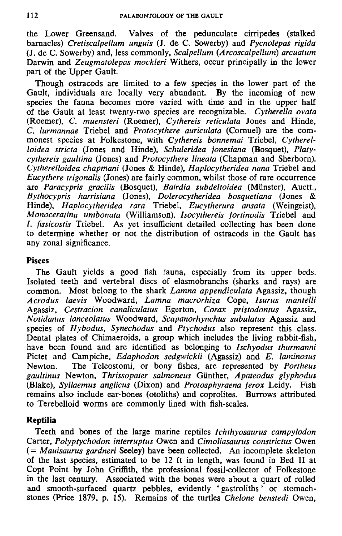the Low er Greensand. Valves of the pedunculate cirripedes (stalked barnacles) *Cretiscalpellum unguis* (J. de C. Sowerby) and *Pycnolepas rigida* (J. de C. Sowerby) and, less commonly, *Scalpellum (Arcoscalpellum*) *arcuatum* Darwin and *Zeugmatolepas mockleri* Withers, occur principally in the lower part of the Upper Gault.

Though ostracods are limited to a few species in the lower part of the Gault, individuals are locally very abundant. By the incoming of new species the fauna becomes more varied with time and in the upper half of the G ault at least twenty-two species are recognizable. *Cytherella ovata* (Roemer), *C. muensteri* (Roemer), *Cythereis reticulata* Jones and Hinde, *C. lurmannae* Triebel and *Protocythere auriculata* (Corauel) are the com monest species at Folkestone, with *Cythereis bonnemai* Triebel, *Cytherelloidea stricta* (Jones and Hinde), *Schuleridea jonesiana* (Bosquet), *Platycythereis gaultina* (Jones) and *Protocythere lineata* (Chapman and Sherborn). *Cytherelloidea chapmani* (Jones & Hinde), *Haplocytheridea nana* Triebel and *Eucythere trigonalis* (Jones) are fairly common, whilst those of rare occurrence are *Paracypris gracilis* (Bosquet), *Bairdia subdeltoidea* (Munster), Auctt., *Bythocypris harrisiana* (Jones), *Dolerocytheridea bosquetiana* (Jones & Hinde), *H aplocytheridea rara* Triebel, *Eucytherura ansata* (Weingeist), *M onoceratina umbonata* (Williamson), *Isocythereis fortinodis* Triebel and /. *fissicostis* Triebel. As yet insufficient detailed collecting has been done to determine whether or not the distribution of ostracods in the Gault has any zonal significance.

### **Pisces**

The Gault yields a good fish fauna, especially from its upper beds. Isolated teeth and vertebral discs of elasmobranchs (sharks and rays) are common. Most belong to the shark *Lamna appendiculata* Agassiz, though *A crodus laevis* W oodw ard, *Lam na m acrorhiza* Cope, *Isurus m antelli* Agassiz, *Cestracion canaliculatus* Egerton, *Corax pristodontus* Agassiz, *Notidanus lanceolatus* W oodward, *Scapanorhynchus subulatus* Agassiz and species of *H ybodus, Synechodus* and *Ptychodus* also represent this class. Dental plates of Chimaeroids, a group which includes the living rabbit-fish, have been found and are identified as belonging to *Ischyodus thurmanni* Pictet and Campiche, *Edaphodon sedgwickii* (Agassiz) and *E. laminosus* Newton. The Teleostomi, or bony fishes, are represented by *Portheus gaultinus* Newton, *Thrissopater salmoneus* Gunther, *A pateodus glyphodus* (Blake), *Syllaem us anglicus* (Dixon) and *Protosphyraena ferox* Leidy. Fish remains also include ear-bones (otoliths) and coprolites. Burrows attributed to Terebelloid worms are commonly lined with fish-scales.

### **Reptilia**

Teeth and bones of the large marine reptiles *Ichthyosaurus campylodon* Carter, *Polyptychodon interruptus* Owen and *Cimoliasaurus constrictus* Owen (= *Mauisaurus gardneri* Seeley) have been collected. An incomplete skeleton of the last species, estim ated to be 12 ft in length, was found in Bed II at Copt Point by John Griffith, the professional fossil-collector of Folkestone in the last century. A ssociated with the bones were about a quart of rolled and smooth-surfaced quartz pebbles, evidently ' gastroliths ' or stomachstones (Price 1879, p. 15). Rem ains of the turtles *Chelone benstedi* Owen,